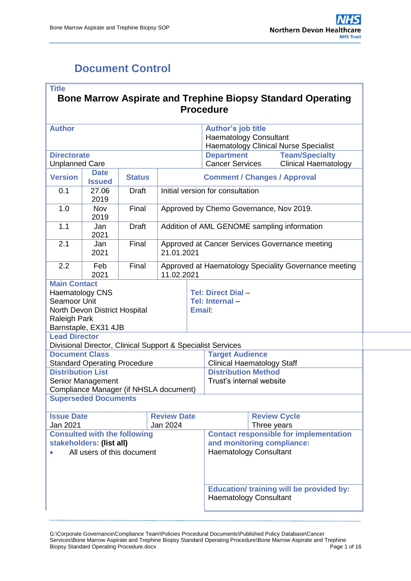# <span id="page-0-0"></span>**Document Control**

| <b>Title</b>                                                                                                 |                                                       |                                                                   |            |        | <b>Procedure</b>                                                                                             |  | <b>Bone Marrow Aspirate and Trephine Biopsy Standard Operating</b> |  |  |
|--------------------------------------------------------------------------------------------------------------|-------------------------------------------------------|-------------------------------------------------------------------|------------|--------|--------------------------------------------------------------------------------------------------------------|--|--------------------------------------------------------------------|--|--|
| <b>Author</b>                                                                                                |                                                       |                                                                   |            |        | <b>Author's job title</b><br><b>Haematology Consultant</b>                                                   |  | <b>Haematology Clinical Nurse Specialist</b>                       |  |  |
| <b>Directorate</b>                                                                                           |                                                       |                                                                   |            |        | <b>Department</b>                                                                                            |  | <b>Team/Specialty</b>                                              |  |  |
| <b>Unplanned Care</b>                                                                                        |                                                       |                                                                   |            |        | <b>Cancer Services</b>                                                                                       |  | <b>Clinical Haematology</b>                                        |  |  |
| <b>Version</b>                                                                                               | <b>Date</b><br><b>Issued</b>                          | <b>Status</b>                                                     |            |        | <b>Comment / Changes / Approval</b>                                                                          |  |                                                                    |  |  |
| 0.1                                                                                                          | 27.06<br>2019                                         | <b>Draft</b>                                                      |            |        | Initial version for consultation                                                                             |  |                                                                    |  |  |
| 1.0                                                                                                          | Nov<br>2019                                           | Final                                                             |            |        | Approved by Chemo Governance, Nov 2019.                                                                      |  |                                                                    |  |  |
| 1.1                                                                                                          | Jan<br>2021                                           | <b>Draft</b>                                                      |            |        |                                                                                                              |  | Addition of AML GENOME sampling information                        |  |  |
| 2.1                                                                                                          | Jan<br>2021                                           | Final                                                             | 21.01.2021 |        |                                                                                                              |  | Approved at Cancer Services Governance meeting                     |  |  |
| 2.2                                                                                                          | Feb<br>2021                                           | Final                                                             | 11.02.2021 |        |                                                                                                              |  | Approved at Haematology Speciality Governance meeting              |  |  |
| <b>Main Contact</b><br><b>Haematology CNS</b><br>Seamoor Unit<br><b>Raleigh Park</b><br><b>Lead Director</b> | North Devon District Hospital<br>Barnstaple, EX31 4JB |                                                                   |            | Email: | Tel: Direct Dial -<br>Tel: Internal-                                                                         |  |                                                                    |  |  |
|                                                                                                              |                                                       |                                                                   |            |        | Divisional Director, Clinical Support & Specialist Services                                                  |  |                                                                    |  |  |
| <b>Document Class</b>                                                                                        |                                                       |                                                                   |            |        | <b>Target Audience</b>                                                                                       |  |                                                                    |  |  |
|                                                                                                              |                                                       | <b>Standard Operating Procedure</b>                               |            |        | <b>Clinical Haematology Staff</b>                                                                            |  |                                                                    |  |  |
| <b>Distribution List</b>                                                                                     |                                                       |                                                                   |            |        | <b>Distribution Method</b>                                                                                   |  |                                                                    |  |  |
|                                                                                                              | Senior Management                                     | Compliance Manager (if NHSLA document)                            |            |        | Trust's internal website                                                                                     |  |                                                                    |  |  |
|                                                                                                              | <b>Superseded Documents</b>                           |                                                                   |            |        |                                                                                                              |  |                                                                    |  |  |
| <b>Review Date</b><br><b>Review Cycle</b><br><b>Issue Date</b><br>Jan 2021<br>Jan 2024<br>Three years        |                                                       |                                                                   |            |        |                                                                                                              |  |                                                                    |  |  |
|                                                                                                              | stakeholders: (list all)                              | <b>Consulted with the following</b><br>All users of this document |            |        | <b>Contact responsible for implementation</b><br>and monitoring compliance:<br><b>Haematology Consultant</b> |  |                                                                    |  |  |
| <b>Education/ training will be provided by:</b><br><b>Haematology Consultant</b>                             |                                                       |                                                                   |            |        |                                                                                                              |  |                                                                    |  |  |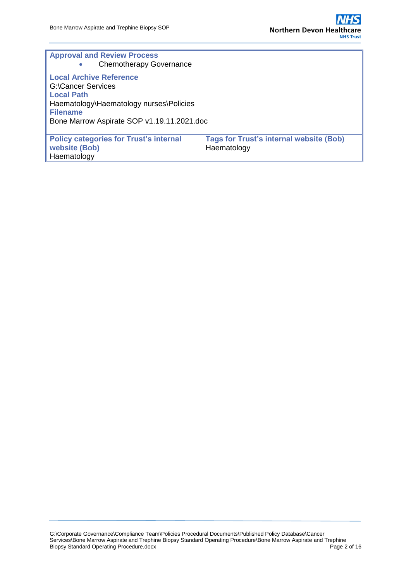| <b>Approval and Review Process</b>            |                                                |
|-----------------------------------------------|------------------------------------------------|
| <b>Chemotherapy Governance</b>                |                                                |
| <b>Local Archive Reference</b>                |                                                |
| <b>G:\Cancer Services</b>                     |                                                |
| <b>Local Path</b>                             |                                                |
| Haematology\Haematology nurses\Policies       |                                                |
| <b>Filename</b>                               |                                                |
| Bone Marrow Aspirate SOP v1.19.11.2021.doc    |                                                |
|                                               |                                                |
| <b>Policy categories for Trust's internal</b> | <b>Tags for Trust's internal website (Bob)</b> |
| website (Bob)                                 | Haematology                                    |
| Haematology                                   |                                                |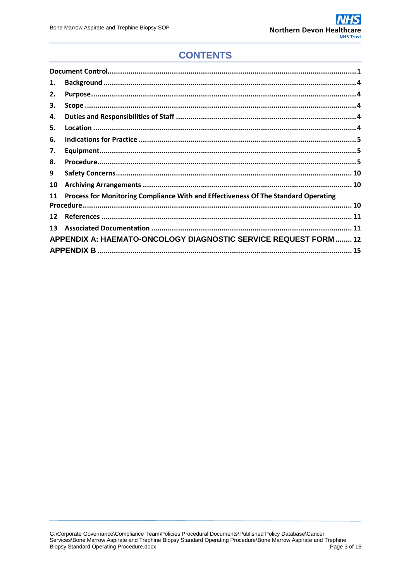### **CONTENTS**

| 1. |                                                                                    |  |
|----|------------------------------------------------------------------------------------|--|
| 2. |                                                                                    |  |
| З. |                                                                                    |  |
| 4. |                                                                                    |  |
| 5. |                                                                                    |  |
| 6. |                                                                                    |  |
| 7. |                                                                                    |  |
| 8. |                                                                                    |  |
| 9  |                                                                                    |  |
| 10 |                                                                                    |  |
| 11 | Process for Monitoring Compliance With and Effectiveness Of The Standard Operating |  |
|    |                                                                                    |  |
| 12 |                                                                                    |  |
| 13 |                                                                                    |  |
|    | APPENDIX A: HAEMATO-ONCOLOGY DIAGNOSTIC SERVICE REQUEST FORM  12                   |  |
|    |                                                                                    |  |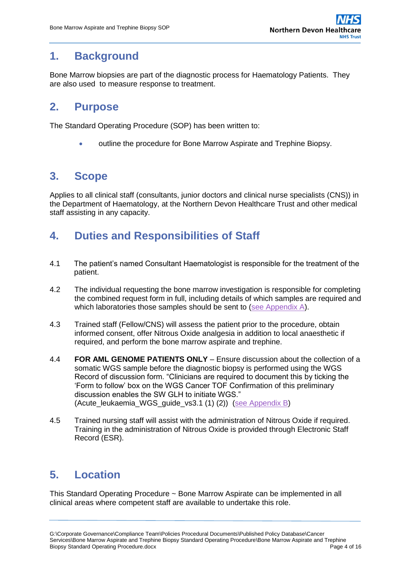## <span id="page-3-0"></span>**1. Background**

Bone Marrow biopsies are part of the diagnostic process for Haematology Patients. They are also used to measure response to treatment.

### <span id="page-3-1"></span>**2. Purpose**

The Standard Operating Procedure (SOP) has been written to:

outline the procedure for Bone Marrow Aspirate and Trephine Biopsy.

## <span id="page-3-2"></span>**3. Scope**

Applies to all clinical staff (consultants, junior doctors and clinical nurse specialists (CNS)) in the Department of Haematology, at the Northern Devon Healthcare Trust and other medical staff assisting in any capacity.

## <span id="page-3-3"></span>**4. Duties and Responsibilities of Staff**

- 4.1 The patient's named Consultant Haematologist is responsible for the treatment of the patient.
- 4.2 The individual requesting the bone marrow investigation is responsible for completing the combined request form in full, including details of which samples are required and which laboratories those samples should be sent to [\(see Appendix A\)](#page-12-0).
- 4.3 Trained staff (Fellow/CNS) will assess the patient prior to the procedure, obtain informed consent, offer Nitrous Oxide analgesia in addition to local anaesthetic if required, and perform the bone marrow aspirate and trephine.
- 4.4 **FOR AML GENOME PATIENTS ONLY** Ensure discussion about the collection of a somatic WGS sample before the diagnostic biopsy is performed using the WGS Record of discussion form. "Clinicians are required to document this by ticking the 'Form to follow' box on the WGS Cancer TOF Confirmation of this preliminary discussion enables the SW GLH to initiate WGS." (Acute\_leukaemia\_WGS\_guide\_vs3.1 (1) (2)) [\(see Appendix B\)](#page-15-0)
- 4.5 Trained nursing staff will assist with the administration of Nitrous Oxide if required. Training in the administration of Nitrous Oxide is provided through Electronic Staff Record (ESR).

# <span id="page-3-4"></span>**5. Location**

This Standard Operating Procedure ~ Bone Marrow Aspirate can be implemented in all clinical areas where competent staff are available to undertake this role.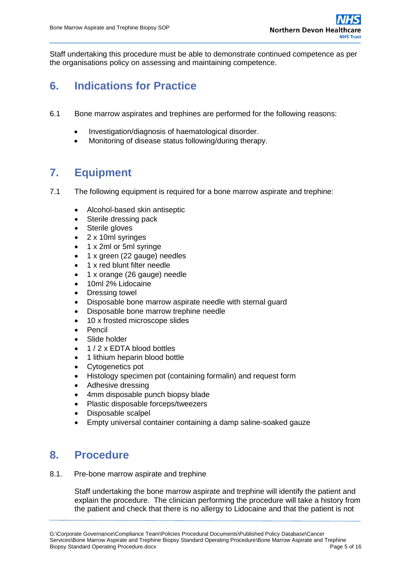Staff undertaking this procedure must be able to demonstrate continued competence as per the organisations policy on assessing and maintaining competence.

## <span id="page-4-0"></span>**6. Indications for Practice**

- 6.1 Bone marrow aspirates and trephines are performed for the following reasons:
	- Investigation/diagnosis of haematological disorder.
	- Monitoring of disease status following/during therapy.

## <span id="page-4-1"></span>**7. Equipment**

- 7.1 The following equipment is required for a bone marrow aspirate and trephine:
	- Alcohol-based skin antiseptic
	- Sterile dressing pack
	- Sterile gloves
	- 2 x 10ml syringes
	- 1 x 2ml or 5ml syringe
	- 1 x green (22 gauge) needles
	- 1 x red blunt filter needle
	- 1 x orange (26 gauge) needle
	- 10ml 2% Lidocaine
	- Dressing towel
	- Disposable bone marrow aspirate needle with sternal guard
	- Disposable bone marrow trephine needle
	- 10 x frosted microscope slides
	- Pencil
	- Slide holder
	- 1 / 2 x EDTA blood bottles
	- 1 lithium heparin blood bottle
	- Cytogenetics pot
	- Histology specimen pot (containing formalin) and request form
	- Adhesive dressing
	- 4mm disposable punch biopsy blade
	- Plastic disposable forceps/tweezers
	- Disposable scalpel
	- Empty universal container containing a damp saline-soaked gauze

### <span id="page-4-2"></span>**8. Procedure**

8.1. Pre-bone marrow aspirate and trephine

Staff undertaking the bone marrow aspirate and trephine will identify the patient and explain the procedure. The clinician performing the procedure will take a history from the patient and check that there is no allergy to Lidocaine and that the patient is not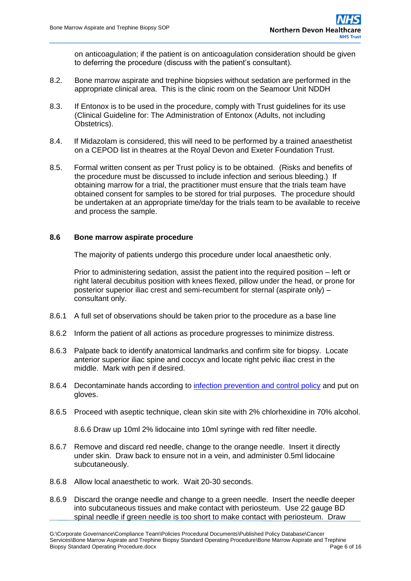on anticoagulation; if the patient is on anticoagulation consideration should be given to deferring the procedure (discuss with the patient's consultant).

- 8.2. Bone marrow aspirate and trephine biopsies without sedation are performed in the appropriate clinical area. This is the clinic room on the Seamoor Unit NDDH
- 8.3. If Entonox is to be used in the procedure, comply with Trust guidelines for its use [\(Clinical Guideline for: The Administration of Entonox \(Adults, not including](https://hub.exe.nhs.uk/EasysiteWeb/getresource.axd?AssetID=3344&type=Full&servicetype=Attachment)  [Obstetrics\)](https://hub.exe.nhs.uk/EasysiteWeb/getresource.axd?AssetID=3344&type=Full&servicetype=Attachment).
- 8.4. If Midazolam is considered, this will need to be performed by a trained anaesthetist on a CEPOD list in theatres at the Royal Devon and Exeter Foundation Trust.
- 8.5. Formal written consent as per Trust policy is to be obtained. (Risks and benefits of the procedure must be discussed to include infection and serious bleeding.) If obtaining marrow for a trial, the practitioner must ensure that the trials team have obtained consent for samples to be stored for trial purposes. The procedure should be undertaken at an appropriate time/day for the trials team to be available to receive and process the sample.

#### **8.6 Bone marrow aspirate procedure**

The majority of patients undergo this procedure under local anaesthetic only.

Prior to administering sedation, assist the patient into the required position – left or right lateral decubitus position with knees flexed, pillow under the head, or prone for posterior superior iliac crest and semi-recumbent for sternal (aspirate only) – consultant only.

- 8.6.1 A full set of observations should be taken prior to the procedure as a base line
- 8.6.2 Inform the patient of all actions as procedure progresses to minimize distress.
- 8.6.3 Palpate back to identify anatomical landmarks and confirm site for biopsy. Locate anterior superior iliac spine and coccyx and locate right pelvic iliac crest in the middle. Mark with pen if desired.
- 8.6.4 Decontaminate hands according to [infection prevention and control policy](https://hub.exe.nhs.uk/EasysiteWeb/getresource.axd?AssetID=3768&type=Full&servicetype=Attachment) and put on gloves.
- 8.6.5 Proceed with aseptic technique, clean skin site with 2% chlorhexidine in 70% alcohol.

8.6.6 Draw up 10ml 2% lidocaine into 10ml syringe with red filter needle.

- 8.6.7 Remove and discard red needle, change to the orange needle. Insert it directly under skin. Draw back to ensure not in a vein, and administer 0.5ml lidocaine subcutaneously.
- 8.6.8 Allow local anaesthetic to work. Wait 20-30 seconds.
- 8.6.9 Discard the orange needle and change to a green needle. Insert the needle deeper into subcutaneous tissues and make contact with periosteum. Use 22 gauge BD spinal needle if green needle is too short to make contact with periosteum. Draw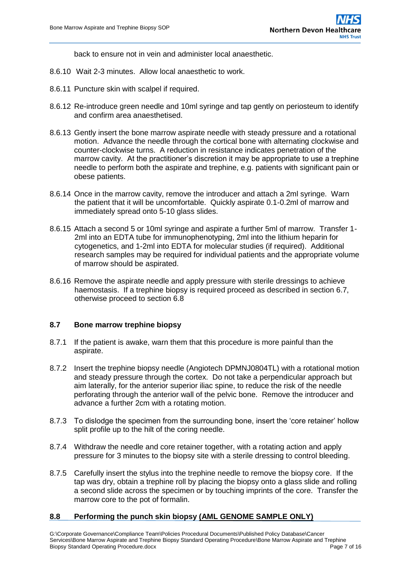back to ensure not in vein and administer local anaesthetic.

- 8.6.10 Wait 2-3 minutes. Allow local anaesthetic to work.
- 8.6.11 Puncture skin with scalpel if required.
- 8.6.12 Re-introduce green needle and 10ml syringe and tap gently on periosteum to identify and confirm area anaesthetised.
- 8.6.13 Gently insert the bone marrow aspirate needle with steady pressure and a rotational motion. Advance the needle through the cortical bone with alternating clockwise and counter-clockwise turns. A reduction in resistance indicates penetration of the marrow cavity. At the practitioner's discretion it may be appropriate to use a trephine needle to perform both the aspirate and trephine, e.g. patients with significant pain or obese patients.
- 8.6.14 Once in the marrow cavity, remove the introducer and attach a 2ml syringe. Warn the patient that it will be uncomfortable. Quickly aspirate 0.1-0.2ml of marrow and immediately spread onto 5-10 glass slides.
- 8.6.15 Attach a second 5 or 10ml syringe and aspirate a further 5ml of marrow. Transfer 1- 2ml into an EDTA tube for immunophenotyping, 2ml into the lithium heparin for cytogenetics, and 1-2ml into EDTA for molecular studies (if required). Additional research samples may be required for individual patients and the appropriate volume of marrow should be aspirated.
- 8.6.16 Remove the aspirate needle and apply pressure with sterile dressings to achieve haemostasis. If a trephine biopsy is required proceed as described in section 6.7, otherwise proceed to section 6.8

#### **8.7 Bone marrow trephine biopsy**

- 8.7.1 If the patient is awake, warn them that this procedure is more painful than the aspirate.
- 8.7.2 Insert the trephine biopsy needle (Angiotech DPMNJ0804TL) with a rotational motion and steady pressure through the cortex. Do not take a perpendicular approach but aim laterally, for the anterior superior iliac spine, to reduce the risk of the needle perforating through the anterior wall of the pelvic bone. Remove the introducer and advance a further 2cm with a rotating motion.
- 8.7.3 To dislodge the specimen from the surrounding bone, insert the 'core retainer' hollow split profile up to the hilt of the coring needle.
- 8.7.4 Withdraw the needle and core retainer together, with a rotating action and apply pressure for 3 minutes to the biopsy site with a sterile dressing to control bleeding.
- 8.7.5 Carefully insert the stylus into the trephine needle to remove the biopsy core. If the tap was dry, obtain a trephine roll by placing the biopsy onto a glass slide and rolling a second slide across the specimen or by touching imprints of the core. Transfer the marrow core to the pot of formalin.

#### **8.8 Performing the punch skin biopsy (AML GENOME SAMPLE ONLY)**

G:\Corporate Governance\Compliance Team\Policies Procedural Documents\Published Policy Database\Cancer Services\Bone Marrow Aspirate and Trephine Biopsy Standard Operating Procedure\Bone Marrow Aspirate and Trephine Biopsy Standard Operating Procedure.docx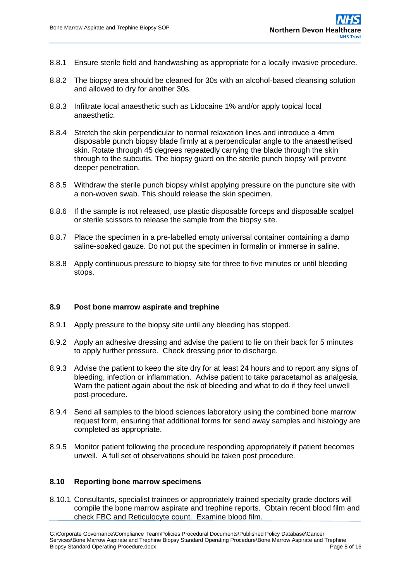- 8.8.1 Ensure sterile field and handwashing as appropriate for a locally invasive procedure.
- 8.8.2 The biopsy area should be cleaned for 30s with an alcohol-based cleansing solution and allowed to dry for another 30s.
- 8.8.3 Infiltrate local anaesthetic such as Lidocaine 1% and/or apply topical local anaesthetic.
- 8.8.4 Stretch the skin perpendicular to normal relaxation lines and introduce a 4mm disposable punch biopsy blade firmly at a perpendicular angle to the anaesthetised skin. Rotate through 45 degrees repeatedly carrying the blade through the skin through to the subcutis. The biopsy guard on the sterile punch biopsy will prevent deeper penetration.
- 8.8.5 Withdraw the sterile punch biopsy whilst applying pressure on the puncture site with a non-woven swab. This should release the skin specimen.
- 8.8.6 If the sample is not released, use plastic disposable forceps and disposable scalpel or sterile scissors to release the sample from the biopsy site.
- 8.8.7 Place the specimen in a pre-labelled empty universal container containing a damp saline-soaked gauze. Do not put the specimen in formalin or immerse in saline.
- 8.8.8 Apply continuous pressure to biopsy site for three to five minutes or until bleeding stops.

#### **8.9 Post bone marrow aspirate and trephine**

- 8.9.1 Apply pressure to the biopsy site until any bleeding has stopped.
- 8.9.2 Apply an adhesive dressing and advise the patient to lie on their back for 5 minutes to apply further pressure. Check dressing prior to discharge.
- 8.9.3 Advise the patient to keep the site dry for at least 24 hours and to report any signs of bleeding, infection or inflammation. Advise patient to take paracetamol as analgesia. Warn the patient again about the risk of bleeding and what to do if they feel unwell post-procedure.
- 8.9.4 Send all samples to the blood sciences laboratory using the combined bone marrow request form, ensuring that additional forms for send away samples and histology are completed as appropriate.
- 8.9.5 Monitor patient following the procedure responding appropriately if patient becomes unwell. A full set of observations should be taken post procedure.

#### **8.10 Reporting bone marrow specimens**

8.10.1 Consultants, specialist trainees or appropriately trained specialty grade doctors will compile the bone marrow aspirate and trephine reports. Obtain recent blood film and check FBC and Reticulocyte count. Examine blood film.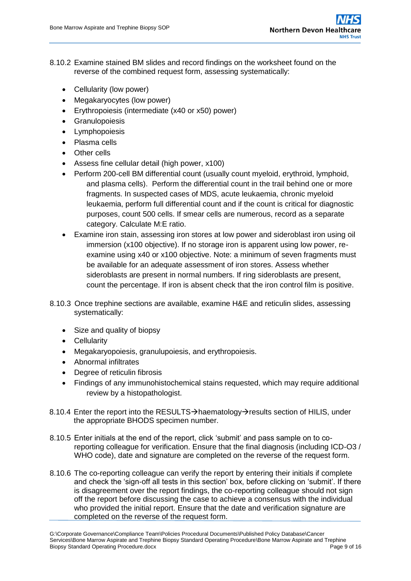- 8.10.2 Examine stained BM slides and record findings on the worksheet found on the reverse of the combined request form, assessing systematically:
	- Cellularity (low power)
	- Megakaryocytes (low power)
	- Erythropoiesis (intermediate (x40 or x50) power)
	- **•** Granulopoiesis
	- Lymphopoiesis
	- Plasma cells
	- Other cells
	- Assess fine cellular detail (high power, x100)
	- Perform 200-cell BM differential count (usually count myeloid, erythroid, lymphoid, and plasma cells). Perform the differential count in the trail behind one or more fragments. In suspected cases of MDS, acute leukaemia, chronic myeloid leukaemia, perform full differential count and if the count is critical for diagnostic purposes, count 500 cells. If smear cells are numerous, record as a separate category. Calculate M:E ratio.
	- Examine iron stain, assessing iron stores at low power and sideroblast iron using oil immersion (x100 objective). If no storage iron is apparent using low power, reexamine using x40 or x100 objective. Note: a minimum of seven fragments must be available for an adequate assessment of iron stores. Assess whether sideroblasts are present in normal numbers. If ring sideroblasts are present, count the percentage. If iron is absent check that the iron control film is positive.
- 8.10.3 Once trephine sections are available, examine H&E and reticulin slides, assessing systematically:
	- Size and quality of biopsy
	- Cellularity
	- Megakaryopoiesis, granulupoiesis, and erythropoiesis.
	- Abnormal infiltrates
	- Degree of reticulin fibrosis
	- Findings of any immunohistochemical stains requested, which may require additional review by a histopathologist.
- 8.10.4 Enter the report into the RESULTS $\rightarrow$ haematology $\rightarrow$ results section of HILIS, under the appropriate BHODS specimen number.
- 8.10.5 Enter initials at the end of the report, click 'submit' and pass sample on to coreporting colleague for verification. Ensure that the final diagnosis (including ICD-O3 / WHO code), date and signature are completed on the reverse of the request form.
- 8.10.6 The co-reporting colleague can verify the report by entering their initials if complete and check the 'sign-off all tests in this section' box, before clicking on 'submit'. If there is disagreement over the report findings, the co-reporting colleague should not sign off the report before discussing the case to achieve a consensus with the individual who provided the initial report. Ensure that the date and verification signature are completed on the reverse of the request form.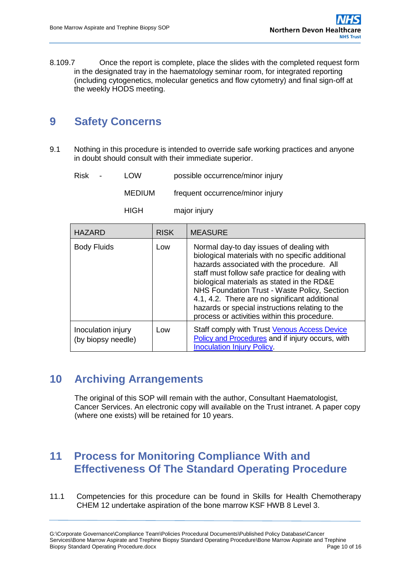8.109.7 Once the report is complete, place the slides with the completed request form in the designated tray in the haematology seminar room, for integrated reporting (including cytogenetics, molecular genetics and flow cytometry) and final sign-off at the weekly HODS meeting.

## <span id="page-9-0"></span>**9 Safety Concerns**

9.1 Nothing in this procedure is intended to override safe working practices and anyone in doubt should consult with their immediate superior.

Risk - LOW possible occurrence/minor injury

MEDIUM frequent occurrence/minor injury

HIGH major injury

| <b>HAZARD</b>                            | <b>RISK</b> | <b>MEASURE</b>                                                                                                                                                                                                                                                                                                                                                                                                                                   |
|------------------------------------------|-------------|--------------------------------------------------------------------------------------------------------------------------------------------------------------------------------------------------------------------------------------------------------------------------------------------------------------------------------------------------------------------------------------------------------------------------------------------------|
| <b>Body Fluids</b>                       | Low         | Normal day-to day issues of dealing with<br>biological materials with no specific additional<br>hazards associated with the procedure. All<br>staff must follow safe practice for dealing with<br>biological materials as stated in the RD&E<br>NHS Foundation Trust - Waste Policy, Section<br>4.1, 4.2. There are no significant additional<br>hazards or special instructions relating to the<br>process or activities within this procedure. |
| Inoculation injury<br>(by biopsy needle) | Low         | Staff comply with Trust Venous Access Device<br>Policy and Procedures and if injury occurs, with<br><b>Inoculation Injury Policy</b>                                                                                                                                                                                                                                                                                                             |

### <span id="page-9-1"></span>**10 Archiving Arrangements**

The original of this SOP will remain with the author, Consultant Haematologist, Cancer Services. An electronic copy will available on the Trust intranet. A paper copy (where one exists) will be retained for 10 years.

## <span id="page-9-2"></span>**11 Process for Monitoring Compliance With and Effectiveness Of The Standard Operating Procedure**

11.1 Competencies for this procedure can be found in Skills for Health Chemotherapy CHEM 12 undertake aspiration of the bone marrow KSF HWB 8 Level 3.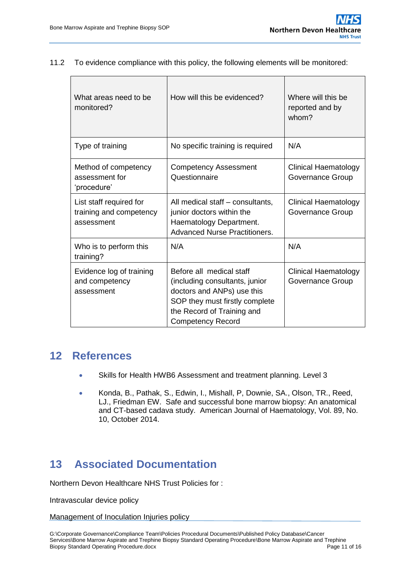11.2 To evidence compliance with this policy, the following elements will be monitored:

| What areas need to be<br>monitored?                              | How will this be evidenced?                                                                                                                                                          | Where will this be<br>reported and by<br>whom?  |  |  |
|------------------------------------------------------------------|--------------------------------------------------------------------------------------------------------------------------------------------------------------------------------------|-------------------------------------------------|--|--|
| Type of training                                                 | No specific training is required                                                                                                                                                     | N/A                                             |  |  |
| Method of competency<br>assessment for<br>'procedure'            | <b>Competency Assessment</b><br>Questionnaire                                                                                                                                        | <b>Clinical Haematology</b><br>Governance Group |  |  |
| List staff required for<br>training and competency<br>assessment | All medical staff – consultants,<br>junior doctors within the<br>Haematology Department.<br><b>Advanced Nurse Practitioners.</b>                                                     | <b>Clinical Haematology</b><br>Governance Group |  |  |
| Who is to perform this<br>training?                              | N/A                                                                                                                                                                                  | N/A                                             |  |  |
| Evidence log of training<br>and competency<br>assessment         | Before all medical staff<br>(including consultants, junior<br>doctors and ANPs) use this<br>SOP they must firstly complete<br>the Record of Training and<br><b>Competency Record</b> | Clinical Haematology<br>Governance Group        |  |  |

### <span id="page-10-0"></span>**12 References**

- Skills for Health HWB6 Assessment and treatment planning. Level 3
- Konda, B., Pathak, S., Edwin, I., Mishall, P, Downie, SA., Olson, TR., Reed, LJ., Friedman EW. Safe and successful bone marrow biopsy: An anatomical and CT-based cadava study. American Journal of Haematology, Vol. 89, No. 10, October 2014.

## <span id="page-10-1"></span>**13 Associated Documentation**

Northern Devon Healthcare NHS Trust Policies for :

Intravascular device policy

#### Management of Inoculation Injuries policy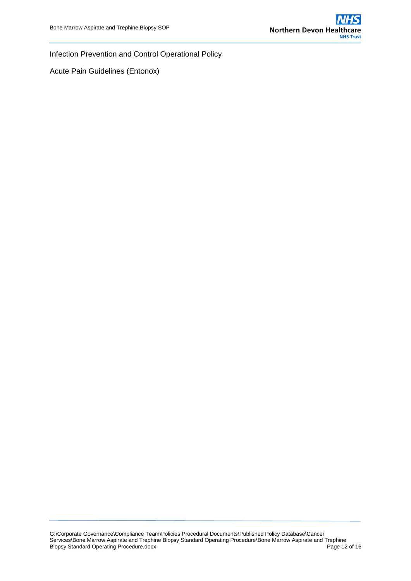Infection Prevention and Control Operational Policy

Acute Pain Guidelines (Entonox)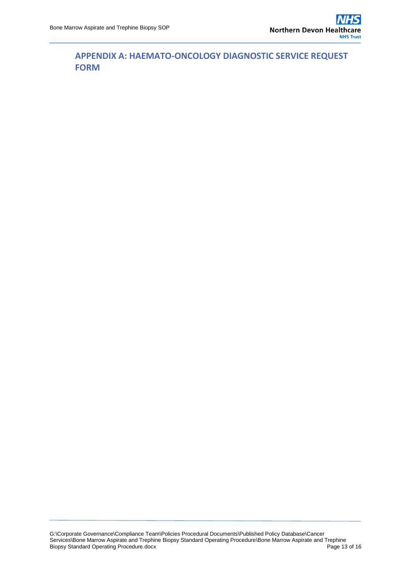<span id="page-12-0"></span>**APPENDIX A: HAEMATO-ONCOLOGY DIAGNOSTIC SERVICE REQUEST FORM**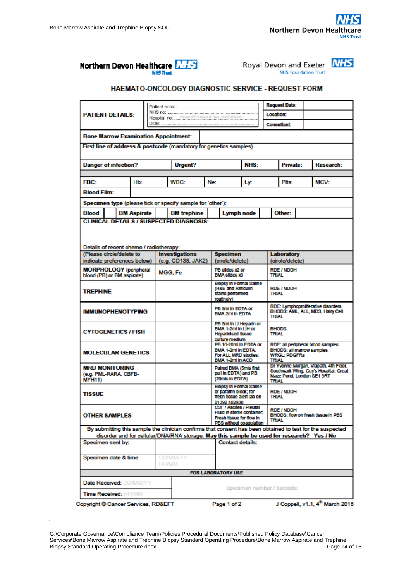





#### HAEMATO-ONCOLOGY DIAGNOSTIC SERVICE - REQUEST FORM

| <b>PATIENT DETAILS:</b>                                 |  |  |                    |                                                        |                                                                                           |                                                                                    | <b>Request Date:</b>                                                        |            |                                                                                |                                                                                        |                                    |                                                                                                           |  |
|---------------------------------------------------------|--|--|--------------------|--------------------------------------------------------|-------------------------------------------------------------------------------------------|------------------------------------------------------------------------------------|-----------------------------------------------------------------------------|------------|--------------------------------------------------------------------------------|----------------------------------------------------------------------------------------|------------------------------------|-----------------------------------------------------------------------------------------------------------|--|
|                                                         |  |  |                    | Hospital no:  Presse afty patent (D hard wink this box |                                                                                           |                                                                                    | Location:                                                                   |            |                                                                                |                                                                                        |                                    |                                                                                                           |  |
|                                                         |  |  |                    |                                                        |                                                                                           |                                                                                    |                                                                             | Consultant |                                                                                |                                                                                        |                                    |                                                                                                           |  |
|                                                         |  |  |                    |                                                        | <b>Bone Marrow Examination Appointment:</b>                                               |                                                                                    |                                                                             |            |                                                                                |                                                                                        |                                    |                                                                                                           |  |
|                                                         |  |  |                    |                                                        | First line of address & postcode (mandatory for genetics samples)                         |                                                                                    |                                                                             |            |                                                                                |                                                                                        |                                    |                                                                                                           |  |
|                                                         |  |  |                    |                                                        |                                                                                           |                                                                                    |                                                                             |            |                                                                                |                                                                                        |                                    |                                                                                                           |  |
| <b>Danger of infection?</b>                             |  |  |                    |                                                        | <b>Urgent?</b>                                                                            |                                                                                    | NHS:                                                                        |            |                                                                                | <b>Private:</b>                                                                        |                                    | <b>Research:</b>                                                                                          |  |
| FBC:                                                    |  |  | Hb:                |                                                        | <b>WBC:</b>                                                                               | Ne:                                                                                |                                                                             | Ly.        |                                                                                | Plts:                                                                                  |                                    | MCV:                                                                                                      |  |
| <b>Blood Film:</b>                                      |  |  |                    |                                                        |                                                                                           |                                                                                    |                                                                             |            |                                                                                |                                                                                        |                                    |                                                                                                           |  |
|                                                         |  |  |                    |                                                        | Specimen type (please tick or specify sample for 'other'):                                |                                                                                    |                                                                             |            |                                                                                |                                                                                        |                                    |                                                                                                           |  |
| <b>Blood</b>                                            |  |  | <b>BM Aspirate</b> |                                                        | <b>BM</b> trephine                                                                        |                                                                                    | Lymph node                                                                  |            |                                                                                | Other:                                                                                 |                                    |                                                                                                           |  |
|                                                         |  |  |                    |                                                        | <b>CLINICAL DETAILS / SUSPECTED DIAGNOSIS:</b>                                            |                                                                                    |                                                                             |            |                                                                                |                                                                                        |                                    |                                                                                                           |  |
|                                                         |  |  |                    |                                                        |                                                                                           |                                                                                    |                                                                             |            |                                                                                |                                                                                        |                                    |                                                                                                           |  |
|                                                         |  |  |                    |                                                        |                                                                                           |                                                                                    |                                                                             |            |                                                                                |                                                                                        |                                    |                                                                                                           |  |
| Details of recent chemo / radiotherapy:                 |  |  |                    |                                                        |                                                                                           |                                                                                    |                                                                             |            |                                                                                |                                                                                        |                                    |                                                                                                           |  |
| (Please circle/delete to<br>indicate preferences below) |  |  |                    |                                                        | <b>Investigations</b><br>(e.g. CD138, JAK2)                                               |                                                                                    | <b>Specimen</b><br>(circle/delete)                                          |            |                                                                                | Laboratory<br>(circle/delete)                                                          |                                    |                                                                                                           |  |
| <b>MORPHOLOGY</b> (peripheral                           |  |  |                    |                                                        | MGG. Fe                                                                                   |                                                                                    | PB sildes x2 or                                                             |            |                                                                                | <b>RDE / NDDH</b>                                                                      |                                    |                                                                                                           |  |
| blood (PB) or BM aspirate)                              |  |  |                    |                                                        |                                                                                           |                                                                                    | BMA slides x3<br><b>Blopsy in Formal Saline</b>                             |            |                                                                                | <b>TRIAL</b>                                                                           |                                    |                                                                                                           |  |
| <b>TREPHINE</b>                                         |  |  |                    |                                                        |                                                                                           |                                                                                    | (H&E and Reticulin<br>stains performed                                      |            |                                                                                | <b>RDE / NDDH</b><br><b>TRIAI</b>                                                      |                                    |                                                                                                           |  |
|                                                         |  |  |                    |                                                        |                                                                                           |                                                                                    | routinely)                                                                  |            |                                                                                |                                                                                        |                                    |                                                                                                           |  |
| <b>IMMUNOPHENOTYPING</b>                                |  |  |                    |                                                        |                                                                                           |                                                                                    | PB 5ml in EDTA or<br><b>BMA 2ml In EDTA</b>                                 |            |                                                                                | RDE: Lymphoproliferative disorders<br>BHODS: AML, ALL, MDS, Hairy Cell<br><b>TRIAL</b> |                                    |                                                                                                           |  |
| <b>CYTOGENETICS / FISH</b>                              |  |  |                    |                                                        |                                                                                           |                                                                                    | PB 5ml in LI Heparin or<br>BMA 1-2ml in LiH or<br><b>Heparinised tissue</b> |            |                                                                                | <b>BHODS</b><br>TRIAL                                                                  |                                    |                                                                                                           |  |
|                                                         |  |  |                    |                                                        |                                                                                           |                                                                                    | culture medium<br>PB 10-20ml in EDTA or                                     |            |                                                                                | RDE: all peripheral blood samples                                                      |                                    |                                                                                                           |  |
| <b>MOLECULAR GENETICS</b>                               |  |  |                    |                                                        |                                                                                           |                                                                                    | BMA 1-2ml in EDTA.<br>For ALL MRD studies:<br>BMA 1-2ml In ACD              |            | <b>BHODS: all marrow samples</b><br><b>WRGL: PDGFRa</b><br><b>TRIAL</b>        |                                                                                        |                                    |                                                                                                           |  |
| <b>MRD MONITORING</b>                                   |  |  |                    |                                                        |                                                                                           |                                                                                    | Paired BMA (5mis first                                                      |            | Dr Yvonne Morgan, Vlapath, 4th Floor,<br>Southwark Wing, Guy's Hospital, Great |                                                                                        |                                    |                                                                                                           |  |
| (e.g. PML-RARA, CBFB-<br><b>MYH11)</b>                  |  |  |                    |                                                        |                                                                                           |                                                                                    | pull in EDTA) and PB<br>(20mls In EDTA)                                     |            |                                                                                | Maze Pond, London SE1 9RT<br><b>TRIAL</b>                                              |                                    |                                                                                                           |  |
|                                                         |  |  |                    |                                                        |                                                                                           |                                                                                    | <b>Blopsy in Formal Saline</b><br>or paramn block; for                      |            | <b>RDE / NDDH</b>                                                              |                                                                                        |                                    |                                                                                                           |  |
| <b>TISSUE</b>                                           |  |  |                    |                                                        |                                                                                           |                                                                                    | fresh tissue aiert lab on<br>01392 402930                                   |            |                                                                                | TRIAL                                                                                  |                                    |                                                                                                           |  |
|                                                         |  |  |                    |                                                        |                                                                                           |                                                                                    | CSF / Ascites / Pleural                                                     |            |                                                                                | <b>RDE / NDDH</b>                                                                      |                                    |                                                                                                           |  |
| <b>OTHER SAMPLES</b>                                    |  |  |                    |                                                        |                                                                                           | Fluid in sterile container,<br>Fresh tissue for flow in<br>PBS without coagulation |                                                                             |            | <b>TRIAL</b>                                                                   |                                                                                        | BHODS: flow on fresh tissue in PBS |                                                                                                           |  |
|                                                         |  |  |                    |                                                        |                                                                                           |                                                                                    |                                                                             |            |                                                                                |                                                                                        |                                    | By submitting this sample the clinician confirms that consent has been obtained to test for the suspected |  |
|                                                         |  |  |                    |                                                        | disorder and for cellular/DNA/RNA storage. May this sample be used for research? Yes / No |                                                                                    |                                                                             |            |                                                                                |                                                                                        |                                    |                                                                                                           |  |
| Specimen sent by:                                       |  |  |                    |                                                        | <b>Contact details:</b>                                                                   |                                                                                    |                                                                             |            |                                                                                |                                                                                        |                                    |                                                                                                           |  |
| Specimen date & time:                                   |  |  |                    | <b>DD/MM/YY</b>                                        |                                                                                           |                                                                                    |                                                                             |            |                                                                                |                                                                                        |                                    |                                                                                                           |  |
|                                                         |  |  |                    |                                                        | <b>HIH/MM</b>                                                                             |                                                                                    |                                                                             |            |                                                                                |                                                                                        |                                    |                                                                                                           |  |
|                                                         |  |  |                    |                                                        |                                                                                           |                                                                                    | <b>FOR LABORATORY USE</b>                                                   |            |                                                                                |                                                                                        |                                    |                                                                                                           |  |
| <b>Date Received: DD/MM/YY</b>                          |  |  |                    |                                                        |                                                                                           |                                                                                    |                                                                             |            |                                                                                | Specimen number / barcode:                                                             |                                    |                                                                                                           |  |
| <b>Time Received: HH/MM</b>                             |  |  |                    |                                                        |                                                                                           |                                                                                    |                                                                             |            |                                                                                |                                                                                        |                                    |                                                                                                           |  |
| Copyright C Cancer Services, RD&EFT                     |  |  |                    |                                                        |                                                                                           |                                                                                    | Page 1 of 2                                                                 |            |                                                                                |                                                                                        |                                    | J Coppell, v1.1, 4 <sup>th</sup> March 2016                                                               |  |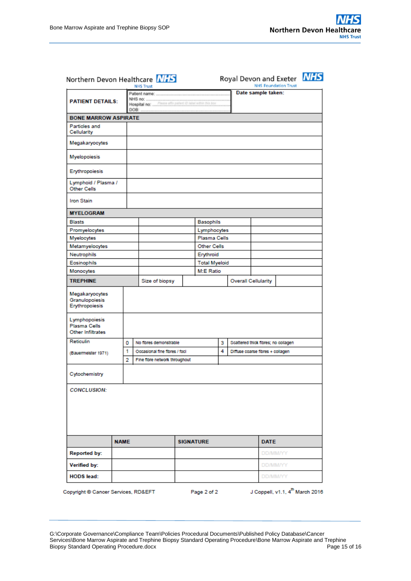| Northern Devon Healthcare NHS                      |             |   | <b>NHS Trust</b>              |                      |  |                    |                            |  | Royal Devon and Exeter NHS          | <b>NHS Foundation Trust</b> |  |  |
|----------------------------------------------------|-------------|---|-------------------------------|----------------------|--|--------------------|----------------------------|--|-------------------------------------|-----------------------------|--|--|
| <b>PATIENT DETAILS:</b>                            |             |   |                               |                      |  | Date sample taken: |                            |  |                                     |                             |  |  |
| <b>BONE MARROW ASPIRATE</b>                        |             |   |                               |                      |  |                    |                            |  |                                     |                             |  |  |
| Particles and<br>Cellularity                       |             |   |                               |                      |  |                    |                            |  |                                     |                             |  |  |
| Megakaryocytes                                     |             |   |                               |                      |  |                    |                            |  |                                     |                             |  |  |
| Myelopoiesis                                       |             |   |                               |                      |  |                    |                            |  |                                     |                             |  |  |
| Erythropoiesis                                     |             |   |                               |                      |  |                    |                            |  |                                     |                             |  |  |
| Lymphoid / Plasma /<br><b>Other Cells</b>          |             |   |                               |                      |  |                    |                            |  |                                     |                             |  |  |
| <b>Iron Stain</b>                                  |             |   |                               |                      |  |                    |                            |  |                                     |                             |  |  |
| <b>MYELOGRAM</b>                                   |             |   |                               |                      |  |                    |                            |  |                                     |                             |  |  |
| <b>Blasts</b>                                      |             |   |                               |                      |  | Basophils          |                            |  |                                     |                             |  |  |
| Promyelocytes                                      |             |   |                               |                      |  | Lymphocytes        |                            |  |                                     |                             |  |  |
| Myelocytes                                         |             |   |                               |                      |  | Plasma Cells       |                            |  |                                     |                             |  |  |
| Metamyelocytes                                     |             |   |                               |                      |  | Other Cells        |                            |  |                                     |                             |  |  |
| Neutrophils                                        |             |   |                               |                      |  | Erythroid          |                            |  |                                     |                             |  |  |
| Eosinophils                                        |             |   |                               | <b>Total Myeloid</b> |  |                    |                            |  |                                     |                             |  |  |
| Monocytes                                          |             |   |                               |                      |  | M:E Ratio          |                            |  |                                     |                             |  |  |
| <b>TREPHINE</b>                                    |             |   | Size of biopsy                |                      |  |                    | <b>Overall Cellularity</b> |  |                                     |                             |  |  |
| Megakaryocytes<br>Granulopoiesis<br>Erythropoiesis |             |   |                               |                      |  |                    |                            |  |                                     |                             |  |  |
| Lymphopoiesis<br>Plasma Cells<br>Other Infiltrates |             |   |                               |                      |  |                    |                            |  |                                     |                             |  |  |
| <b>Reticulin</b>                                   |             | 0 | No fibres demonstrable        |                      |  |                    | 3                          |  | Scattered thick fibres; no collagen |                             |  |  |
| (Bauermeister 1971)                                |             | 1 | Occasional fine fibres / foci |                      |  |                    | 4                          |  | Diffuse coarse fibres + collagen    |                             |  |  |
|                                                    |             | 2 | Fine fibre network throughout |                      |  |                    |                            |  |                                     |                             |  |  |
| Cytochemistry                                      |             |   |                               |                      |  |                    |                            |  |                                     |                             |  |  |
| <b>CONCLUSION:</b>                                 |             |   |                               |                      |  |                    |                            |  |                                     |                             |  |  |
|                                                    | <b>NAME</b> |   |                               |                      |  | <b>SIGNATURE</b>   |                            |  | <b>DATE</b>                         |                             |  |  |
| <b>Reported by:</b>                                |             |   |                               |                      |  |                    |                            |  | DD/MM/YY                            |                             |  |  |
| Verified by:                                       |             |   |                               |                      |  |                    |                            |  |                                     | DD/MM/YY                    |  |  |
| <b>HODS</b> lead:                                  |             |   |                               |                      |  |                    |                            |  | DD/MM/YY                            |                             |  |  |

Copyright @ Cancer Services, RD&EFT

Page 2 of 2

J Coppell, v1.1, 4<sup>th</sup> March 2016